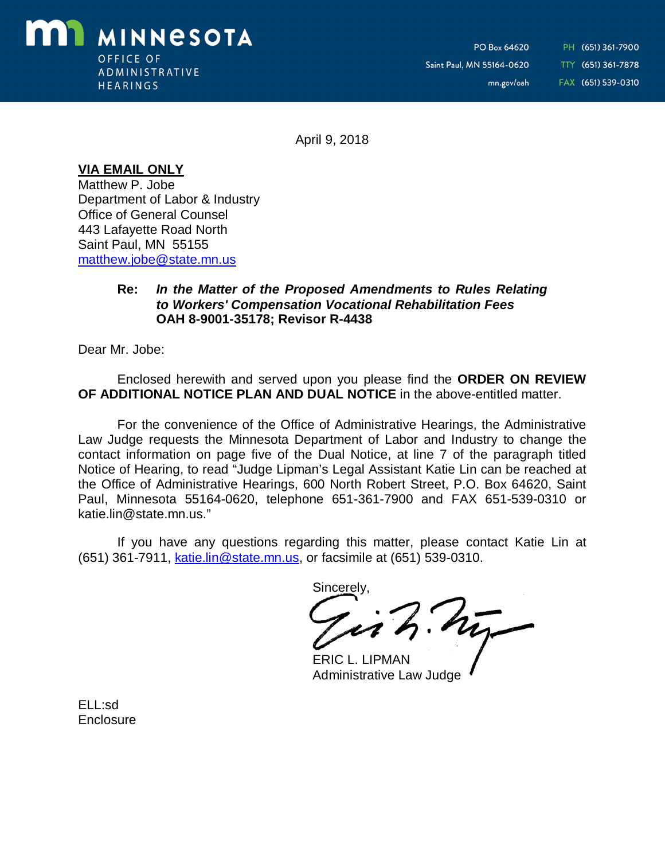

PH (651) 361-7900 TTY (651) 361-7878 FAX (651) 539-0310

April 9, 2018

**VIA EMAIL ONLY**

Matthew P. Jobe Department of Labor & Industry Office of General Counsel 443 Lafayette Road North Saint Paul, MN 55155 [matthew.jobe@state.mn.us](mailto:matthew.jobe@state.mn.us)

## **Re:** *In the Matter of the Proposed Amendments to Rules Relating to Workers' Compensation Vocational Rehabilitation Fees* **OAH 8-9001-35178; Revisor R-4438**

Dear Mr. Jobe:

Enclosed herewith and served upon you please find the **ORDER ON REVIEW OF ADDITIONAL NOTICE PLAN AND DUAL NOTICE** in the above-entitled matter.

For the convenience of the Office of Administrative Hearings, the Administrative Law Judge requests the Minnesota Department of Labor and Industry to change the contact information on page five of the Dual Notice, at line 7 of the paragraph titled Notice of Hearing, to read "Judge Lipman's Legal Assistant Katie Lin can be reached at the Office of Administrative Hearings, 600 North Robert Street, P.O. Box 64620, Saint Paul, Minnesota 55164-0620, telephone 651-361-7900 and FAX 651-539-0310 or [katie.lin@state.mn.us.](mailto:katie.lin@state.mn.us.)"

If you have any questions regarding this matter, please contact Katie Lin at (651) 361-7911, [katie.lin@state.mn.us,](mailto:katie.lin@state.mn.us,) or facsimile at (651) 539-0310.

Sincerely,

Jish.hy

ERIC L. LIPMAN Administrative Law Judge

ELL:sd **Enclosure**